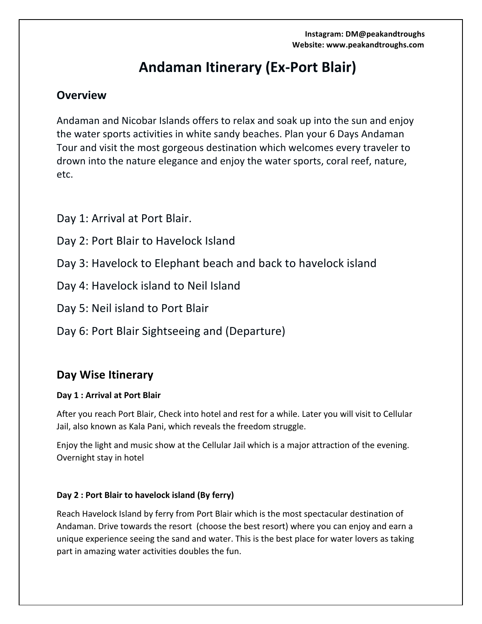# **Andaman Itinerary (Ex-Port Blair)**

# **Overview**

Andaman and Nicobar Islands offers to relax and soak up into the sun and enjoy the water sports activities in white sandy beaches. Plan your 6 Days Andaman Tour and visit the most gorgeous destination which welcomes every traveler to drown into the nature elegance and enjoy the water sports, coral reef, nature, etc.

Day 1: Arrival at Port Blair.

- Day 2: Port Blair to Havelock Island
- Day 3: Havelock to Elephant beach and back to havelock island
- Day 4: Havelock island to Neil Island
- Day 5: Neil island to Port Blair
- Day 6: Port Blair Sightseeing and (Departure)

# **Day Wise Itinerary**

## Day 1 : Arrival at Port Blair

After you reach Port Blair, Check into hotel and rest for a while. Later you will visit to Cellular Jail, also known as Kala Pani, which reveals the freedom struggle.

Enjoy the light and music show at the Cellular Jail which is a major attraction of the evening. Overnight stay in hotel

## **Day 2: Port Blair to havelock island (By ferry)**

Reach Havelock Island by ferry from Port Blair which is the most spectacular destination of Andaman. Drive towards the resort (choose the best resort) where you can enjoy and earn a unique experience seeing the sand and water. This is the best place for water lovers as taking part in amazing water activities doubles the fun.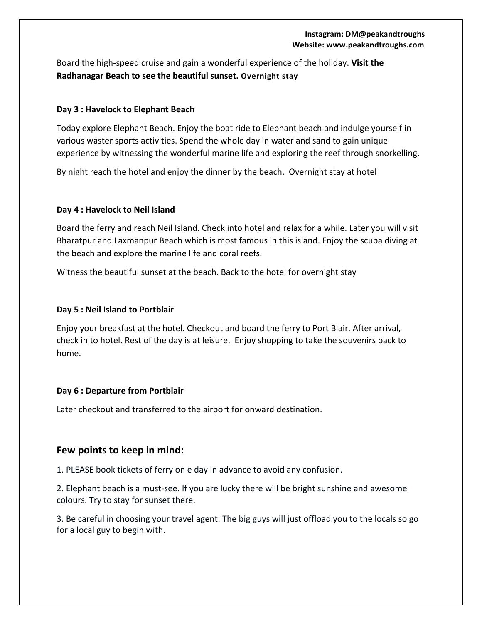#### **Instagram: DM@peakandtroughs** Website: www.peakandtroughs.com

Board the high-speed cruise and gain a wonderful experience of the holiday. Visit the **Radhanagar Beach to see the beautiful sunset. Overnight stay**

#### **Day 3 : Havelock to Elephant Beach**

Today explore Elephant Beach. Enjoy the boat ride to Elephant beach and indulge yourself in various waster sports activities. Spend the whole day in water and sand to gain unique experience by witnessing the wonderful marine life and exploring the reef through snorkelling.

By night reach the hotel and enjoy the dinner by the beach. Overnight stay at hotel

#### **Day 4 : Havelock to Neil Island**

Board the ferry and reach Neil Island. Check into hotel and relax for a while. Later you will visit Bharatpur and Laxmanpur Beach which is most famous in this island. Enjoy the scuba diving at the beach and explore the marine life and coral reefs.

Witness the beautiful sunset at the beach. Back to the hotel for overnight stay

#### **Day 5 : Neil Island to Portblair**

Enjoy your breakfast at the hotel. Checkout and board the ferry to Port Blair. After arrival, check in to hotel. Rest of the day is at leisure. Enjoy shopping to take the souvenirs back to home.

#### **Day 6 : Departure from Portblair**

Later checkout and transferred to the airport for onward destination.

### Few points to keep in mind:

1. PLEASE book tickets of ferry on e day in advance to avoid any confusion.

2. Elephant beach is a must-see. If you are lucky there will be bright sunshine and awesome colours. Try to stay for sunset there.

3. Be careful in choosing your travel agent. The big guys will just offload you to the locals so go for a local guy to begin with.